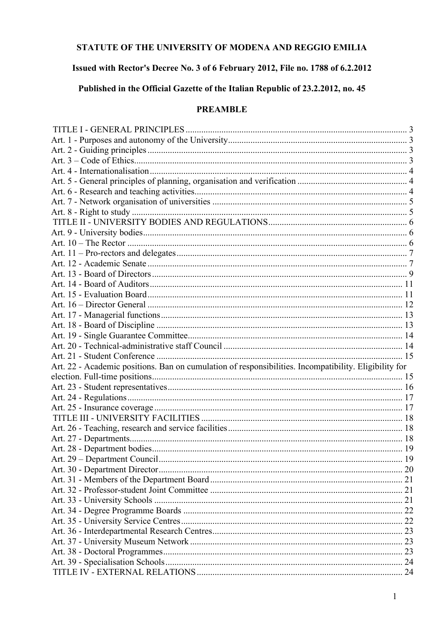## STATUTE OF THE UNIVERSITY OF MODENA AND REGGIO EMILIA

### Issued with Rector's Decree No. 3 of 6 February 2012, File no. 1788 of 6.2.2012

# Published in the Official Gazette of the Italian Republic of 23.2.2012, no. 45

#### **PREAMBLE**

| Art. 22 - Academic positions. Ban on cumulation of responsibilities. Incompatibility. Eligibility for |  |
|-------------------------------------------------------------------------------------------------------|--|
|                                                                                                       |  |
|                                                                                                       |  |
|                                                                                                       |  |
|                                                                                                       |  |
|                                                                                                       |  |
|                                                                                                       |  |
|                                                                                                       |  |
|                                                                                                       |  |
|                                                                                                       |  |
|                                                                                                       |  |
|                                                                                                       |  |
|                                                                                                       |  |
|                                                                                                       |  |
|                                                                                                       |  |
|                                                                                                       |  |
|                                                                                                       |  |
|                                                                                                       |  |
|                                                                                                       |  |
|                                                                                                       |  |
|                                                                                                       |  |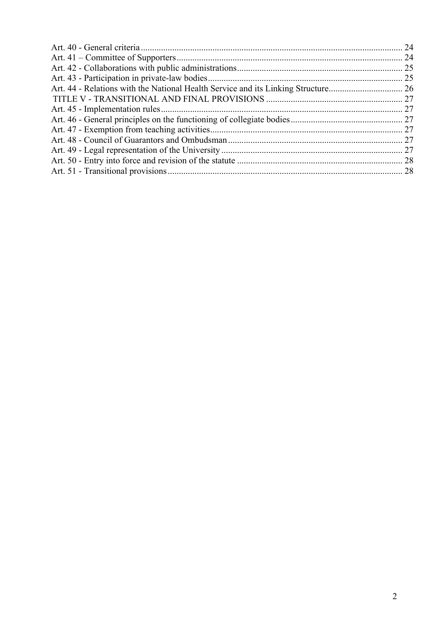| Art. 44 - Relations with the National Health Service and its Linking Structure 26 |  |
|-----------------------------------------------------------------------------------|--|
|                                                                                   |  |
|                                                                                   |  |
|                                                                                   |  |
|                                                                                   |  |
|                                                                                   |  |
|                                                                                   |  |
|                                                                                   |  |
|                                                                                   |  |
|                                                                                   |  |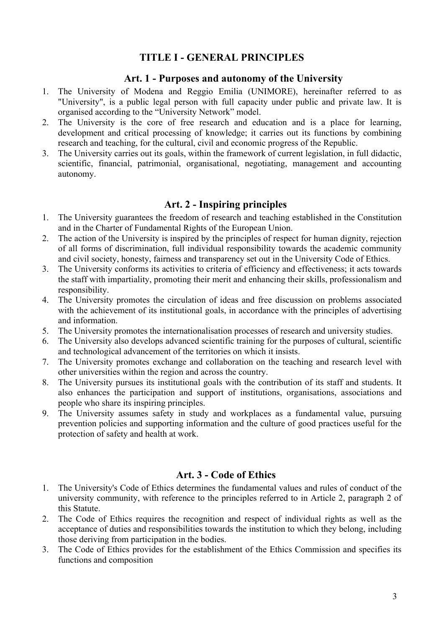### **TITLE I - GENERAL PRINCIPLES**

#### **Art. 1 - Purposes and autonomy of the University**

- <span id="page-2-1"></span><span id="page-2-0"></span>1. The University of Modena and Reggio Emilia (UNIMORE), hereinafter referred to as "University", is a public legal person with full capacity under public and private law. It is organised according to the "University Network" model.
- 2. The University is the core of free research and education and is a place for learning, development and critical processing of knowledge; it carries out its functions by combining research and teaching, for the cultural, civil and economic progress of the Republic.
- 3. The University carries out its goals, within the framework of current legislation, in full didactic, scientific, financial, patrimonial, organisational, negotiating, management and accounting autonomy.

### **Art. 2 - Inspiring principles**

- <span id="page-2-2"></span>1. The University guarantees the freedom of research and teaching established in the Constitution and in the Charter of Fundamental Rights of the European Union.
- 2. The action of the University is inspired by the principles of respect for human dignity, rejection of all forms of discrimination, full individual responsibility towards the academic community and civil society, honesty, fairness and transparency set out in the University Code of Ethics.
- 3. The University conforms its activities to criteria of efficiency and effectiveness; it acts towards the staff with impartiality, promoting their merit and enhancing their skills, professionalism and responsibility.
- 4. The University promotes the circulation of ideas and free discussion on problems associated with the achievement of its institutional goals, in accordance with the principles of advertising and information.
- 5. The University promotes the internationalisation processes of research and university studies.
- 6. The University also develops advanced scientific training for the purposes of cultural, scientific and technological advancement of the territories on which it insists.
- 7. The University promotes exchange and collaboration on the teaching and research level with other universities within the region and across the country.
- 8. The University pursues its institutional goals with the contribution of its staff and students. It also enhances the participation and support of institutions, organisations, associations and people who share its inspiring principles.
- 9. The University assumes safety in study and workplaces as a fundamental value, pursuing prevention policies and supporting information and the culture of good practices useful for the protection of safety and health at work.

### **Art. 3 - Code of Ethics**

- <span id="page-2-3"></span>1. The University's Code of Ethics determines the fundamental values and rules of conduct of the university community, with reference to the principles referred to in Article 2, paragraph 2 of this Statute.
- 2. The Code of Ethics requires the recognition and respect of individual rights as well as the acceptance of duties and responsibilities towards the institution to which they belong, including those deriving from participation in the bodies.
- 3. The Code of Ethics provides for the establishment of the Ethics Commission and specifies its functions and composition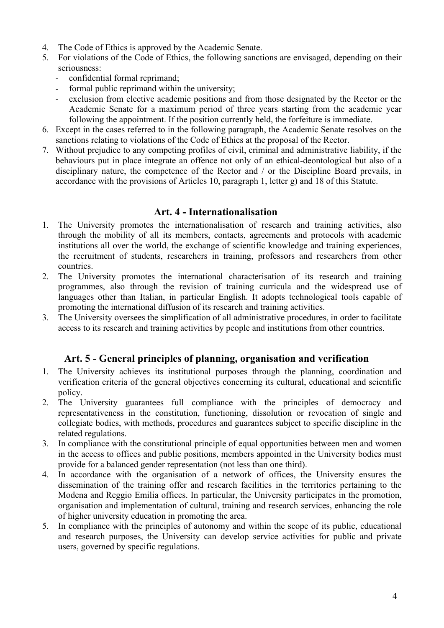- 4. The Code of Ethics is approved by the Academic Senate.
- 5. For violations of the Code of Ethics, the following sanctions are envisaged, depending on their seriousness:
	- confidential formal reprimand;
	- formal public reprimand within the university;
	- exclusion from elective academic positions and from those designated by the Rector or the Academic Senate for a maximum period of three years starting from the academic year following the appointment. If the position currently held, the forfeiture is immediate.
- 6. Except in the cases referred to in the following paragraph, the Academic Senate resolves on the sanctions relating to violations of the Code of Ethics at the proposal of the Rector.
- 7. Without prejudice to any competing profiles of civil, criminal and administrative liability, if the behaviours put in place integrate an offence not only of an ethical-deontological but also of a disciplinary nature, the competence of the Rector and / or the Discipline Board prevails, in accordance with the provisions of Articles 10, paragraph 1, letter g) and 18 of this Statute.

### **Art. 4 - Internationalisation**

- <span id="page-3-0"></span>1. The University promotes the internationalisation of research and training activities, also through the mobility of all its members, contacts, agreements and protocols with academic institutions all over the world, the exchange of scientific knowledge and training experiences, the recruitment of students, researchers in training, professors and researchers from other countries.
- 2. The University promotes the international characterisation of its research and training programmes, also through the revision of training curricula and the widespread use of languages other than Italian, in particular English. It adopts technological tools capable of promoting the international diffusion of its research and training activities.
- 3. The University oversees the simplification of all administrative procedures, in order to facilitate access to its research and training activities by people and institutions from other countries.

## **Art. 5 - General principles of planning, organisation and verification**

- <span id="page-3-1"></span>1. The University achieves its institutional purposes through the planning, coordination and verification criteria of the general objectives concerning its cultural, educational and scientific policy.
- 2. The University guarantees full compliance with the principles of democracy and representativeness in the constitution, functioning, dissolution or revocation of single and collegiate bodies, with methods, procedures and guarantees subject to specific discipline in the related regulations.
- 3. In compliance with the constitutional principle of equal opportunities between men and women in the access to offices and public positions, members appointed in the University bodies must provide for a balanced gender representation (not less than one third).
- 4. In accordance with the organisation of a network of offices, the University ensures the dissemination of the training offer and research facilities in the territories pertaining to the Modena and Reggio Emilia offices. In particular, the University participates in the promotion, organisation and implementation of cultural, training and research services, enhancing the role of higher university education in promoting the area.
- 5. In compliance with the principles of autonomy and within the scope of its public, educational and research purposes, the University can develop service activities for public and private users, governed by specific regulations.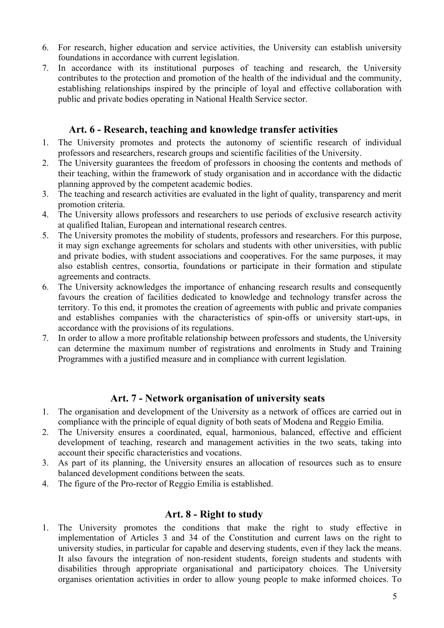- 6. For research, higher education and service activities, the University can establish university foundations in accordance with current legislation.
- 7. In accordance with its institutional purposes of teaching and research, the University contributes to the protection and promotion of the health of the individual and the community, establishing relationships inspired by the principle of loyal and effective collaboration with public and private bodies operating in National Health Service sector.

### **Art. 6 - Research, teaching and knowledge transfer activities**

- 1. The University promotes and protects the autonomy of scientific research of individual professors and researchers, research groups and scientific facilities of the University.
- 2. The University guarantees the freedom of professors in choosing the contents and methods of their teaching, within the framework of study organisation and in accordance with the didactic planning approved by the competent academic bodies.
- 3. The teaching and research activities are evaluated in the light of quality, transparency and merit promotion criteria.
- 4. The University allows professors and researchers to use periods of exclusive research activity at qualified Italian, European and international research centres.
- 5. The University promotes the mobility of students, professors and researchers. For this purpose, it may sign exchange agreements for scholars and students with other universities, with public and private bodies, with student associations and cooperatives. For the same purposes, it may also establish centres, consortia, foundations or participate in their formation and stipulate agreements and contracts.
- 6. The University acknowledges the importance of enhancing research results and consequently favours the creation of facilities dedicated to knowledge and technology transfer across the territory. To this end, it promotes the creation of agreements with public and private companies and establishes companies with the characteristics of spin-offs or university start-ups, in accordance with the provisions of its regulations.
- 7. In order to allow a more profitable relationship between professors and students, the University can determine the maximum number of registrations and enrolments in Study and Training Programmes with a justified measure and in compliance with current legislation.

## **Art. 7 - Network organisation of university seats**

- <span id="page-4-0"></span>1. The organisation and development of the University as a network of offices are carried out in compliance with the principle of equal dignity of both seats of Modena and Reggio Emilia.
- 2. The University ensures a coordinated, equal, harmonious, balanced, effective and efficient development of teaching, research and management activities in the two seats, taking into account their specific characteristics and vocations.
- 3. As part of its planning, the University ensures an allocation of resources such as to ensure balanced development conditions between the seats.
- <span id="page-4-1"></span>4. The figure of the Pro-rector of Reggio Emilia is established.

### **Art. 8 - Right to study**

1. The University promotes the conditions that make the right to study effective in implementation of Articles 3 and 34 of the Constitution and current laws on the right to university studies, in particular for capable and deserving students, even if they lack the means. It also favours the integration of non-resident students, foreign students and students with disabilities through appropriate organisational and participatory choices. The University organises orientation activities in order to allow young people to make informed choices. To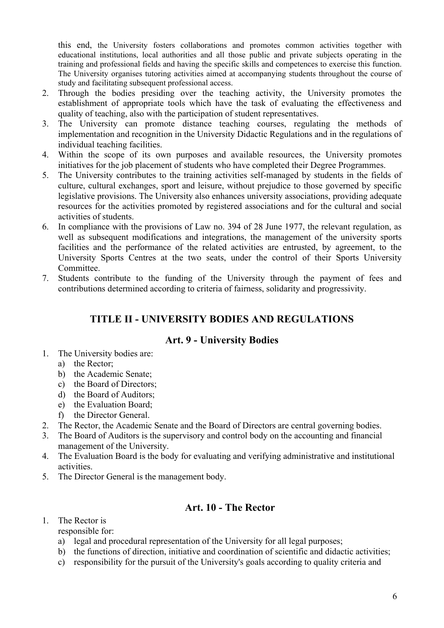this end, the University fosters collaborations and promotes common activities together with educational institutions, local authorities and all those public and private subjects operating in the training and professional fields and having the specific skills and competences to exercise this function. The University organises tutoring activities aimed at accompanying students throughout the course of study and facilitating subsequent professional access.

- 2. Through the bodies presiding over the teaching activity, the University promotes the establishment of appropriate tools which have the task of evaluating the effectiveness and quality of teaching, also with the participation of student representatives.
- 3. The University can promote distance teaching courses, regulating the methods of implementation and recognition in the University Didactic Regulations and in the regulations of individual teaching facilities.
- 4. Within the scope of its own purposes and available resources, the University promotes initiatives for the job placement of students who have completed their Degree Programmes.
- 5. The University contributes to the training activities self-managed by students in the fields of culture, cultural exchanges, sport and leisure, without prejudice to those governed by specific legislative provisions. The University also enhances university associations, providing adequate resources for the activities promoted by registered associations and for the cultural and social activities of students.
- 6. In compliance with the provisions of Law no. 394 of 28 June 1977, the relevant regulation, as well as subsequent modifications and integrations, the management of the university sports facilities and the performance of the related activities are entrusted, by agreement, to the University Sports Centres at the two seats, under the control of their Sports University Committee.
- <span id="page-5-0"></span>7. Students contribute to the funding of the University through the payment of fees and contributions determined according to criteria of fairness, solidarity and progressivity.

# **TITLE II - UNIVERSITY BODIES AND REGULATIONS**

## **Art. 9 - University Bodies**

- <span id="page-5-1"></span>1. The University bodies are:
	- a) the Rector;
	- b) the Academic Senate;
	- c) the Board of Directors;
	- d) the Board of Auditors;
	- e) the Evaluation Board;
	- f) the Director General.
- 2. The Rector, the Academic Senate and the Board of Directors are central governing bodies.
- 3. The Board of Auditors is the supervisory and control body on the accounting and financial management of the University.
- 4. The Evaluation Board is the body for evaluating and verifying administrative and institutional activities.
- 5. The Director General is the management body.

### **Art. 10 - The Rector**

<span id="page-5-2"></span>1. The Rector is

responsible for:

- a) legal and procedural representation of the University for all legal purposes;
- b) the functions of direction, initiative and coordination of scientific and didactic activities;
- c) responsibility for the pursuit of the University's goals according to quality criteria and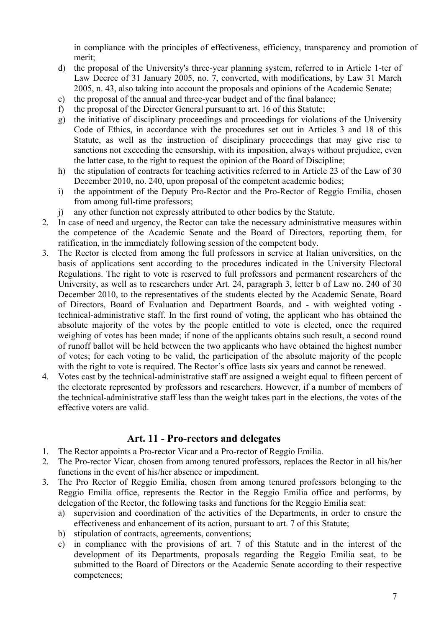in compliance with the principles of effectiveness, efficiency, transparency and promotion of merit;

- d) the proposal of the University's three-year planning system, referred to in Article 1-ter of Law Decree of 31 January 2005, no. 7, converted, with modifications, by Law 31 March 2005, n. 43, also taking into account the proposals and opinions of the Academic Senate;
- e) the proposal of the annual and three-year budget and of the final balance;
- f) the proposal of the Director General pursuant to art. 16 of this Statute;
- g) the initiative of disciplinary proceedings and proceedings for violations of the University Code of Ethics, in accordance with the procedures set out in Articles 3 and 18 of this Statute, as well as the instruction of disciplinary proceedings that may give rise to sanctions not exceeding the censorship, with its imposition, always without prejudice, even the latter case, to the right to request the opinion of the Board of Discipline;
- h) the stipulation of contracts for teaching activities referred to in Article 23 of the Law of 30 December 2010, no. 240, upon proposal of the competent academic bodies;
- i) the appointment of the Deputy Pro-Rector and the Pro-Rector of Reggio Emilia, chosen from among full-time professors;
- j) any other function not expressly attributed to other bodies by the Statute.
- 2. In case of need and urgency, the Rector can take the necessary administrative measures within the competence of the Academic Senate and the Board of Directors, reporting them, for ratification, in the immediately following session of the competent body.
- 3. The Rector is elected from among the full professors in service at Italian universities, on the basis of applications sent according to the procedures indicated in the University Electoral Regulations. The right to vote is reserved to full professors and permanent researchers of the University, as well as to researchers under Art. 24, paragraph 3, letter b of Law no. 240 of 30 December 2010, to the representatives of the students elected by the Academic Senate, Board of Directors, Board of Evaluation and Department Boards, and - with weighted voting technical-administrative staff. In the first round of voting, the applicant who has obtained the absolute majority of the votes by the people entitled to vote is elected, once the required weighing of votes has been made; if none of the applicants obtains such result, a second round of runoff ballot will be held between the two applicants who have obtained the highest number of votes; for each voting to be valid, the participation of the absolute majority of the people with the right to vote is required. The Rector's office lasts six years and cannot be renewed.
- 4. Votes cast by the technical-administrative staff are assigned a weight equal to fifteen percent of the electorate represented by professors and researchers. However, if a number of members of the technical-administrative staff less than the weight takes part in the elections, the votes of the effective voters are valid.

### **Art. 11 - Pro-rectors and delegates**

- 1. The Rector appoints a Pro-rector Vicar and a Pro-rector of Reggio Emilia.
- 2. The Pro-rector Vicar, chosen from among tenured professors, replaces the Rector in all his/her functions in the event of his/her absence or impediment.
- 3. The Pro Rector of Reggio Emilia, chosen from among tenured professors belonging to the Reggio Emilia office, represents the Rector in the Reggio Emilia office and performs, by delegation of the Rector, the following tasks and functions for the Reggio Emilia seat:
	- a) supervision and coordination of the activities of the Departments, in order to ensure the effectiveness and enhancement of its action, pursuant to art. 7 of this Statute;
	- b) stipulation of contracts, agreements, conventions;
	- c) in compliance with the provisions of art. 7 of this Statute and in the interest of the development of its Departments, proposals regarding the Reggio Emilia seat, to be submitted to the Board of Directors or the Academic Senate according to their respective competences;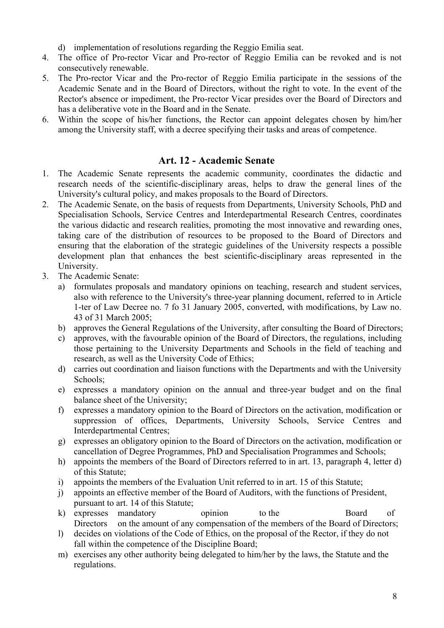- d) implementation of resolutions regarding the Reggio Emilia seat.
- 4. The office of Pro-rector Vicar and Pro-rector of Reggio Emilia can be revoked and is not consecutively renewable.
- 5. The Pro-rector Vicar and the Pro-rector of Reggio Emilia participate in the sessions of the Academic Senate and in the Board of Directors, without the right to vote. In the event of the Rector's absence or impediment, the Pro-rector Vicar presides over the Board of Directors and has a deliberative vote in the Board and in the Senate.
- 6. Within the scope of his/her functions, the Rector can appoint delegates chosen by him/her among the University staff, with a decree specifying their tasks and areas of competence.

### **Art. 12 - Academic Senate**

- <span id="page-7-0"></span>1. The Academic Senate represents the academic community, coordinates the didactic and research needs of the scientific-disciplinary areas, helps to draw the general lines of the University's cultural policy, and makes proposals to the Board of Directors.
- 2. The Academic Senate, on the basis of requests from Departments, University Schools, PhD and Specialisation Schools, Service Centres and Interdepartmental Research Centres, coordinates the various didactic and research realities, promoting the most innovative and rewarding ones, taking care of the distribution of resources to be proposed to the Board of Directors and ensuring that the elaboration of the strategic guidelines of the University respects a possible development plan that enhances the best scientific-disciplinary areas represented in the University.
- 3. The Academic Senate:
	- a) formulates proposals and mandatory opinions on teaching, research and student services, also with reference to the University's three-year planning document, referred to in Article 1-ter of Law Decree no. 7 fo 31 January 2005, converted, with modifications, by Law no. 43 of 31 March 2005;
	- b) approves the General Regulations of the University, after consulting the Board of Directors;
	- c) approves, with the favourable opinion of the Board of Directors, the regulations, including those pertaining to the University Departments and Schools in the field of teaching and research, as well as the University Code of Ethics;
	- d) carries out coordination and liaison functions with the Departments and with the University Schools;
	- e) expresses a mandatory opinion on the annual and three-year budget and on the final balance sheet of the University;
	- f) expresses a mandatory opinion to the Board of Directors on the activation, modification or suppression of offices, Departments, University Schools, Service Centres and Interdepartmental Centres;
	- g) expresses an obligatory opinion to the Board of Directors on the activation, modification or cancellation of Degree Programmes, PhD and Specialisation Programmes and Schools;
	- h) appoints the members of the Board of Directors referred to in art. 13, paragraph 4, letter d) of this Statute;
	- i) appoints the members of the Evaluation Unit referred to in art. 15 of this Statute;
	- j) appoints an effective member of the Board of Auditors, with the functions of President, pursuant to art. 14 of this Statute;
	- k) expresses mandatory opinion to the Board of Directors on the amount of any compensation of the members of the Board of Directors;
	- l) decides on violations of the Code of Ethics, on the proposal of the Rector, if they do not fall within the competence of the Discipline Board;
	- m) exercises any other authority being delegated to him/her by the laws, the Statute and the regulations.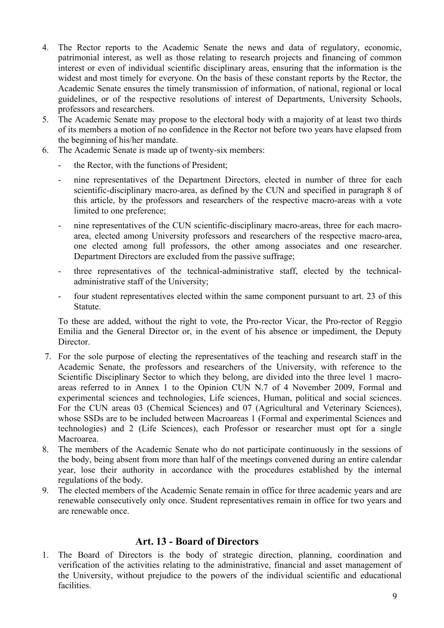- 4. The Rector reports to the Academic Senate the news and data of regulatory, economic, patrimonial interest, as well as those relating to research projects and financing of common interest or even of individual scientific disciplinary areas, ensuring that the information is the widest and most timely for everyone. On the basis of these constant reports by the Rector, the Academic Senate ensures the timely transmission of information, of national, regional or local guidelines, or of the respective resolutions of interest of Departments, University Schools, professors and researchers.
- 5. The Academic Senate may propose to the electoral body with a majority of at least two thirds of its members a motion of no confidence in the Rector not before two years have elapsed from the beginning of his/her mandate.
- 6. The Academic Senate is made up of twenty-six members:
	- the Rector, with the functions of President;
	- nine representatives of the Department Directors, elected in number of three for each scientific-disciplinary macro-area, as defined by the CUN and specified in paragraph 8 of this article, by the professors and researchers of the respective macro-areas with a vote limited to one preference;
	- nine representatives of the CUN scientific-disciplinary macro-areas, three for each macroarea, elected among University professors and researchers of the respective macro-area, one elected among full professors, the other among associates and one researcher. Department Directors are excluded from the passive suffrage;
	- three representatives of the technical-administrative staff, elected by the technicaladministrative staff of the University;
	- four student representatives elected within the same component pursuant to art. 23 of this Statute.

To these are added, without the right to vote, the Pro-rector Vicar, the Pro-rector of Reggio Emilia and the General Director or, in the event of his absence or impediment, the Deputy Director.

- 7. For the sole purpose of electing the representatives of the teaching and research staff in the Academic Senate, the professors and researchers of the University, with reference to the Scientific Disciplinary Sector to which they belong, are divided into the three level 1 macroareas referred to in Annex 1 to the Opinion CUN N.7 of 4 November 2009, Formal and experimental sciences and technologies, Life sciences, Human, political and social sciences. For the CUN areas 03 (Chemical Sciences) and 07 (Agricultural and Veterinary Sciences), whose SSDs are to be included between Macroareas 1 (Formal and experimental Sciences and technologies) and 2 (Life Sciences), each Professor or researcher must opt for a single Macroarea.
- 8. The members of the Academic Senate who do not participate continuously in the sessions of the body, being absent from more than half of the meetings convened during an entire calendar year, lose their authority in accordance with the procedures established by the internal regulations of the body.
- 9. The elected members of the Academic Senate remain in office for three academic years and are renewable consecutively only once. Student representatives remain in office for two years and are renewable once.

#### **Art. 13 - Board of Directors**

<span id="page-8-0"></span>1. The Board of Directors is the body of strategic direction, planning, coordination and verification of the activities relating to the administrative, financial and asset management of the University, without prejudice to the powers of the individual scientific and educational facilities.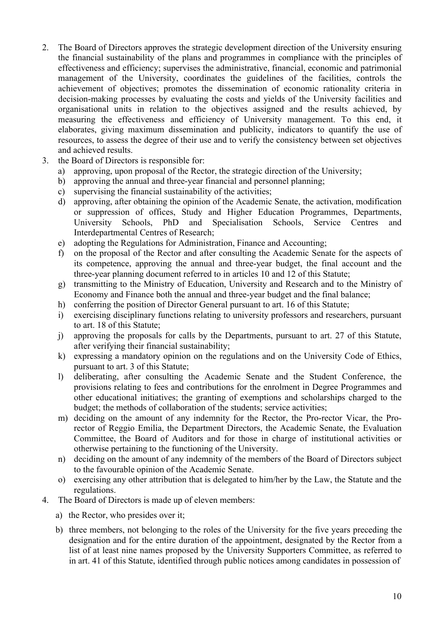- 2. The Board of Directors approves the strategic development direction of the University ensuring the financial sustainability of the plans and programmes in compliance with the principles of effectiveness and efficiency; supervises the administrative, financial, economic and patrimonial management of the University, coordinates the guidelines of the facilities, controls the achievement of objectives; promotes the dissemination of economic rationality criteria in decision-making processes by evaluating the costs and yields of the University facilities and organisational units in relation to the objectives assigned and the results achieved, by measuring the effectiveness and efficiency of University management. To this end, it elaborates, giving maximum dissemination and publicity, indicators to quantify the use of resources, to assess the degree of their use and to verify the consistency between set objectives and achieved results.
- 3. the Board of Directors is responsible for:
	- a) approving, upon proposal of the Rector, the strategic direction of the University;
	- b) approving the annual and three-year financial and personnel planning;
	- c) supervising the financial sustainability of the activities;
	- d) approving, after obtaining the opinion of the Academic Senate, the activation, modification or suppression of offices, Study and Higher Education Programmes, Departments, University Schools, PhD and Specialisation Schools, Service Centres and Interdepartmental Centres of Research;
	- e) adopting the Regulations for Administration, Finance and Accounting;
	- f) on the proposal of the Rector and after consulting the Academic Senate for the aspects of its competence, approving the annual and three-year budget, the final account and the three-year planning document referred to in articles 10 and 12 of this Statute;
	- g) transmitting to the Ministry of Education, University and Research and to the Ministry of Economy and Finance both the annual and three-year budget and the final balance;
	- h) conferring the position of Director General pursuant to art. 16 of this Statute;
	- i) exercising disciplinary functions relating to university professors and researchers, pursuant to art. 18 of this Statute;
	- j) approving the proposals for calls by the Departments, pursuant to art. 27 of this Statute, after verifying their financial sustainability;
	- k) expressing a mandatory opinion on the regulations and on the University Code of Ethics, pursuant to art. 3 of this Statute;
	- l) deliberating, after consulting the Academic Senate and the Student Conference, the provisions relating to fees and contributions for the enrolment in Degree Programmes and other educational initiatives; the granting of exemptions and scholarships charged to the budget; the methods of collaboration of the students; service activities;
	- m) deciding on the amount of any indemnity for the Rector, the Pro-rector Vicar, the Prorector of Reggio Emilia, the Department Directors, the Academic Senate, the Evaluation Committee, the Board of Auditors and for those in charge of institutional activities or otherwise pertaining to the functioning of the University.
	- n) deciding on the amount of any indemnity of the members of the Board of Directors subject to the favourable opinion of the Academic Senate.
	- o) exercising any other attribution that is delegated to him/her by the Law, the Statute and the regulations.
- 4. The Board of Directors is made up of eleven members:
	- a) the Rector, who presides over it;
	- b) three members, not belonging to the roles of the University for the five years preceding the designation and for the entire duration of the appointment, designated by the Rector from a list of at least nine names proposed by the University Supporters Committee, as referred to in art. 41 of this Statute, identified through public notices among candidates in possession of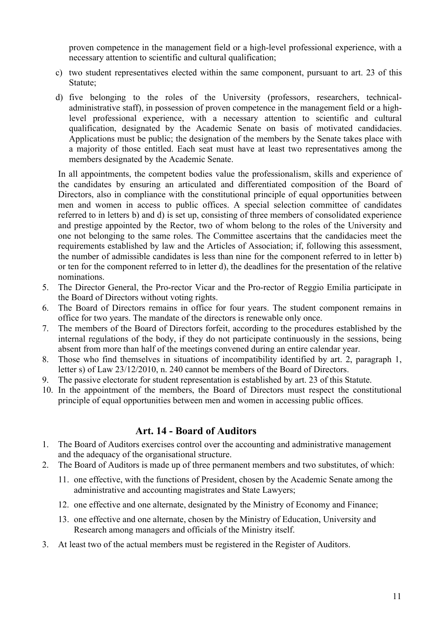proven competence in the management field or a high-level professional experience, with a necessary attention to scientific and cultural qualification;

- c) two student representatives elected within the same component, pursuant to art. 23 of this Statute;
- d) five belonging to the roles of the University (professors, researchers, technicaladministrative staff), in possession of proven competence in the management field or a highlevel professional experience, with a necessary attention to scientific and cultural qualification, designated by the Academic Senate on basis of motivated candidacies. Applications must be public; the designation of the members by the Senate takes place with a majority of those entitled. Each seat must have at least two representatives among the members designated by the Academic Senate.

In all appointments, the competent bodies value the professionalism, skills and experience of the candidates by ensuring an articulated and differentiated composition of the Board of Directors, also in compliance with the constitutional principle of equal opportunities between men and women in access to public offices. A special selection committee of candidates referred to in letters b) and d) is set up, consisting of three members of consolidated experience and prestige appointed by the Rector, two of whom belong to the roles of the University and one not belonging to the same roles. The Committee ascertains that the candidacies meet the requirements established by law and the Articles of Association; if, following this assessment, the number of admissible candidates is less than nine for the component referred to in letter b) or ten for the component referred to in letter d), the deadlines for the presentation of the relative nominations.

- 5. The Director General, the Pro-rector Vicar and the Pro-rector of Reggio Emilia participate in the Board of Directors without voting rights.
- 6. The Board of Directors remains in office for four years. The student component remains in office for two years. The mandate of the directors is renewable only once.
- 7. The members of the Board of Directors forfeit, according to the procedures established by the internal regulations of the body, if they do not participate continuously in the sessions, being absent from more than half of the meetings convened during an entire calendar year.
- 8. Those who find themselves in situations of incompatibility identified by art. 2, paragraph 1, letter s) of Law 23/12/2010, n. 240 cannot be members of the Board of Directors.
- 9. The passive electorate for student representation is established by art. 23 of this Statute.
- 10. In the appointment of the members, the Board of Directors must respect the constitutional principle of equal opportunities between men and women in accessing public offices.

### **Art. 14 - Board of Auditors**

- <span id="page-10-0"></span>1. The Board of Auditors exercises control over the accounting and administrative management and the adequacy of the organisational structure.
- 2. The Board of Auditors is made up of three permanent members and two substitutes, of which:
	- 11. one effective, with the functions of President, chosen by the Academic Senate among the administrative and accounting magistrates and State Lawyers;
	- 12. one effective and one alternate, designated by the Ministry of Economy and Finance;
	- 13. one effective and one alternate, chosen by the Ministry of Education, University and Research among managers and officials of the Ministry itself.
- 3. At least two of the actual members must be registered in the Register of Auditors.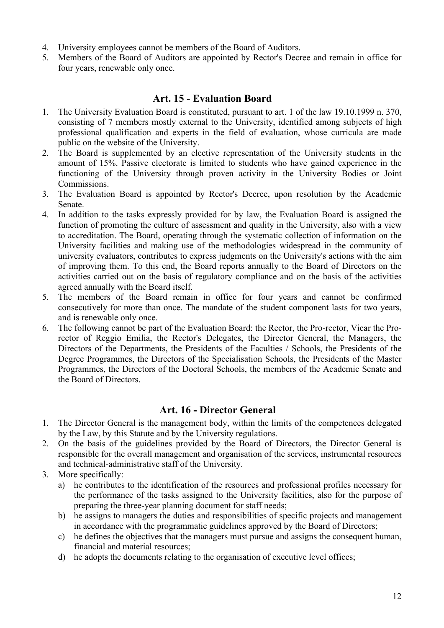- 4. University employees cannot be members of the Board of Auditors.
- 5. Members of the Board of Auditors are appointed by Rector's Decree and remain in office for four years, renewable only once.

### **Art. 15 - Evaluation Board**

- <span id="page-11-0"></span>1. The University Evaluation Board is constituted, pursuant to art. 1 of the law 19.10.1999 n. 370, consisting of 7 members mostly external to the University, identified among subjects of high professional qualification and experts in the field of evaluation, whose curricula are made public on the website of the University.
- 2. The Board is supplemented by an elective representation of the University students in the amount of 15%. Passive electorate is limited to students who have gained experience in the functioning of the University through proven activity in the University Bodies or Joint Commissions.
- 3. The Evaluation Board is appointed by Rector's Decree, upon resolution by the Academic Senate.
- 4. In addition to the tasks expressly provided for by law, the Evaluation Board is assigned the function of promoting the culture of assessment and quality in the University, also with a view to accreditation. The Board, operating through the systematic collection of information on the University facilities and making use of the methodologies widespread in the community of university evaluators, contributes to express judgments on the University's actions with the aim of improving them. To this end, the Board reports annually to the Board of Directors on the activities carried out on the basis of regulatory compliance and on the basis of the activities agreed annually with the Board itself.
- 5. The members of the Board remain in office for four years and cannot be confirmed consecutively for more than once. The mandate of the student component lasts for two years, and is renewable only once.
- 6. The following cannot be part of the Evaluation Board: the Rector, the Pro-rector, Vicar the Prorector of Reggio Emilia, the Rector's Delegates, the Director General, the Managers, the Directors of the Departments, the Presidents of the Faculties / Schools, the Presidents of the Degree Programmes, the Directors of the Specialisation Schools, the Presidents of the Master Programmes, the Directors of the Doctoral Schools, the members of the Academic Senate and the Board of Directors.

### **Art. 16 - Director General**

- <span id="page-11-1"></span>1. The Director General is the management body, within the limits of the competences delegated by the Law, by this Statute and by the University regulations.
- 2. On the basis of the guidelines provided by the Board of Directors, the Director General is responsible for the overall management and organisation of the services, instrumental resources and technical-administrative staff of the University.
- 3. More specifically:
	- a) he contributes to the identification of the resources and professional profiles necessary for the performance of the tasks assigned to the University facilities, also for the purpose of preparing the three-year planning document for staff needs;
	- b) he assigns to managers the duties and responsibilities of specific projects and management in accordance with the programmatic guidelines approved by the Board of Directors;
	- c) he defines the objectives that the managers must pursue and assigns the consequent human, financial and material resources;
	- d) he adopts the documents relating to the organisation of executive level offices;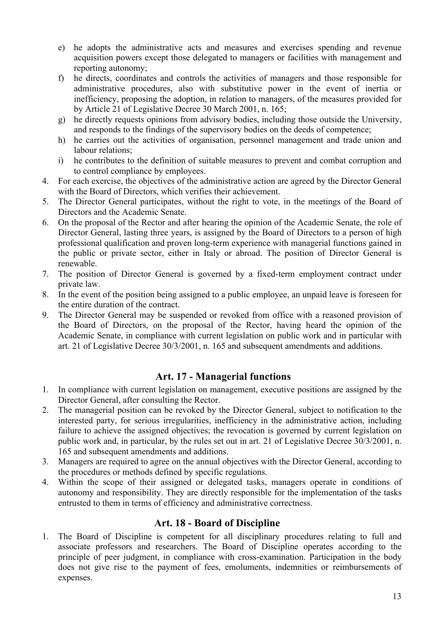- e) he adopts the administrative acts and measures and exercises spending and revenue acquisition powers except those delegated to managers or facilities with management and reporting autonomy;
- f) he directs, coordinates and controls the activities of managers and those responsible for administrative procedures, also with substitutive power in the event of inertia or inefficiency, proposing the adoption, in relation to managers, of the measures provided for by Article 21 of Legislative Decree 30 March 2001, n. 165;
- g) he directly requests opinions from advisory bodies, including those outside the University, and responds to the findings of the supervisory bodies on the deeds of competence;
- h) he carries out the activities of organisation, personnel management and trade union and labour relations;
- i) he contributes to the definition of suitable measures to prevent and combat corruption and to control compliance by employees.
- 4. For each exercise, the objectives of the administrative action are agreed by the Director General with the Board of Directors, which verifies their achievement.
- 5. The Director General participates, without the right to vote, in the meetings of the Board of Directors and the Academic Senate.
- 6. On the proposal of the Rector and after hearing the opinion of the Academic Senate, the role of Director General, lasting three years, is assigned by the Board of Directors to a person of high professional qualification and proven long-term experience with managerial functions gained in the public or private sector, either in Italy or abroad. The position of Director General is renewable.
- 7. The position of Director General is governed by a fixed-term employment contract under private law.
- 8. In the event of the position being assigned to a public employee, an unpaid leave is foreseen for the entire duration of the contract.
- 9. The Director General may be suspended or revoked from office with a reasoned provision of the Board of Directors, on the proposal of the Rector, having heard the opinion of the Academic Senate, in compliance with current legislation on public work and in particular with art. 21 of Legislative Decree 30/3/2001, n. 165 and subsequent amendments and additions.

## **Art. 17 - Managerial functions**

- <span id="page-12-0"></span>1. In compliance with current legislation on management, executive positions are assigned by the Director General, after consulting the Rector.
- 2. The managerial position can be revoked by the Director General, subject to notification to the interested party, for serious irregularities, inefficiency in the administrative action, including failure to achieve the assigned objectives; the revocation is governed by current legislation on public work and, in particular, by the rules set out in art. 21 of Legislative Decree 30/3/2001, n. 165 and subsequent amendments and additions.
- 3. Managers are required to agree on the annual objectives with the Director General, according to the procedures or methods defined by specific regulations.
- 4. Within the scope of their assigned or delegated tasks, managers operate in conditions of autonomy and responsibility. They are directly responsible for the implementation of the tasks entrusted to them in terms of efficiency and administrative correctness.

### **Art. 18 - Board of Discipline**

<span id="page-12-1"></span>1. The Board of Discipline is competent for all disciplinary procedures relating to full and associate professors and researchers. The Board of Discipline operates according to the principle of peer judgment, in compliance with cross-examination. Participation in the body does not give rise to the payment of fees, emoluments, indemnities or reimbursements of expenses.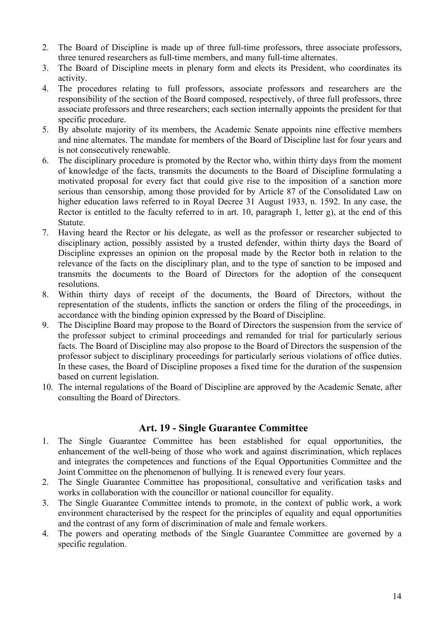- 2. The Board of Discipline is made up of three full-time professors, three associate professors, three tenured researchers as full-time members, and many full-time alternates.
- 3. The Board of Discipline meets in plenary form and elects its President, who coordinates its activity.
- 4. The procedures relating to full professors, associate professors and researchers are the responsibility of the section of the Board composed, respectively, of three full professors, three associate professors and three researchers; each section internally appoints the president for that specific procedure.
- 5. By absolute majority of its members, the Academic Senate appoints nine effective members and nine alternates. The mandate for members of the Board of Discipline last for four years and is not consecutively renewable.
- 6. The disciplinary procedure is promoted by the Rector who, within thirty days from the moment of knowledge of the facts, transmits the documents to the Board of Discipline formulating a motivated proposal for every fact that could give rise to the imposition of a sanction more serious than censorship, among those provided for by Article 87 of the Consolidated Law on higher education laws referred to in Royal Decree 31 August 1933, n. 1592. In any case, the Rector is entitled to the faculty referred to in art. 10, paragraph 1, letter g), at the end of this Statute.
- 7. Having heard the Rector or his delegate, as well as the professor or researcher subjected to disciplinary action, possibly assisted by a trusted defender, within thirty days the Board of Discipline expresses an opinion on the proposal made by the Rector both in relation to the relevance of the facts on the disciplinary plan, and to the type of sanction to be imposed and transmits the documents to the Board of Directors for the adoption of the consequent resolutions.
- 8. Within thirty days of receipt of the documents, the Board of Directors, without the representation of the students, inflicts the sanction or orders the filing of the proceedings, in accordance with the binding opinion expressed by the Board of Discipline.
- 9. The Discipline Board may propose to the Board of Directors the suspension from the service of the professor subject to criminal proceedings and remanded for trial for particularly serious facts. The Board of Discipline may also propose to the Board of Directors the suspension of the professor subject to disciplinary proceedings for particularly serious violations of office duties. In these cases, the Board of Discipline proposes a fixed time for the duration of the suspension based on current legislation.
- 10. The internal regulations of the Board of Discipline are approved by the Academic Senate, after consulting the Board of Directors.

### **Art. 19 - Single Guarantee Committee**

- <span id="page-13-0"></span>1. The Single Guarantee Committee has been established for equal opportunities, the enhancement of the well-being of those who work and against discrimination, which replaces and integrates the competences and functions of the Equal Opportunities Committee and the Joint Committee on the phenomenon of bullying. It is renewed every four years.
- 2. The Single Guarantee Committee has propositional, consultative and verification tasks and works in collaboration with the councillor or national councillor for equality.
- 3. The Single Guarantee Committee intends to promote, in the context of public work, a work environment characterised by the respect for the principles of equality and equal opportunities and the contrast of any form of discrimination of male and female workers.
- 4. The powers and operating methods of the Single Guarantee Committee are governed by a specific regulation.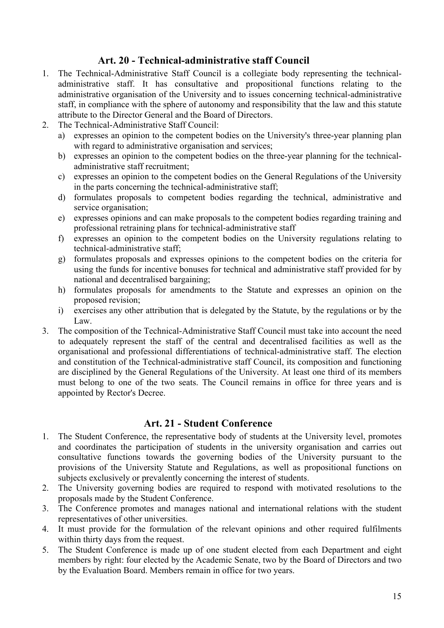# **Art. 20 - Technical-administrative staff Council**

- <span id="page-14-0"></span>1. The Technical-Administrative Staff Council is a collegiate body representing the technicaladministrative staff. It has consultative and propositional functions relating to the administrative organisation of the University and to issues concerning technical-administrative staff, in compliance with the sphere of autonomy and responsibility that the law and this statute attribute to the Director General and the Board of Directors.
- 2. The Technical-Administrative Staff Council:
	- a) expresses an opinion to the competent bodies on the University's three-year planning plan with regard to administrative organisation and services;
	- b) expresses an opinion to the competent bodies on the three-year planning for the technicaladministrative staff recruitment;
	- c) expresses an opinion to the competent bodies on the General Regulations of the University in the parts concerning the technical-administrative staff;
	- d) formulates proposals to competent bodies regarding the technical, administrative and service organisation;
	- e) expresses opinions and can make proposals to the competent bodies regarding training and professional retraining plans for technical-administrative staff
	- f) expresses an opinion to the competent bodies on the University regulations relating to technical-administrative staff;
	- g) formulates proposals and expresses opinions to the competent bodies on the criteria for using the funds for incentive bonuses for technical and administrative staff provided for by national and decentralised bargaining;
	- h) formulates proposals for amendments to the Statute and expresses an opinion on the proposed revision;
	- i) exercises any other attribution that is delegated by the Statute, by the regulations or by the Law.
- 3. The composition of the Technical-Administrative Staff Council must take into account the need to adequately represent the staff of the central and decentralised facilities as well as the organisational and professional differentiations of technical-administrative staff. The election and constitution of the Technical-administrative staff Council, its composition and functioning are disciplined by the General Regulations of the University. At least one third of its members must belong to one of the two seats. The Council remains in office for three years and is appointed by Rector's Decree.

### **Art. 21 - Student Conference**

- <span id="page-14-1"></span>1. The Student Conference, the representative body of students at the University level, promotes and coordinates the participation of students in the university organisation and carries out consultative functions towards the governing bodies of the University pursuant to the provisions of the University Statute and Regulations, as well as propositional functions on subjects exclusively or prevalently concerning the interest of students.
- 2. The University governing bodies are required to respond with motivated resolutions to the proposals made by the Student Conference.
- 3. The Conference promotes and manages national and international relations with the student representatives of other universities.
- 4. It must provide for the formulation of the relevant opinions and other required fulfilments within thirty days from the request.
- 5. The Student Conference is made up of one student elected from each Department and eight members by right: four elected by the Academic Senate, two by the Board of Directors and two by the Evaluation Board. Members remain in office for two years.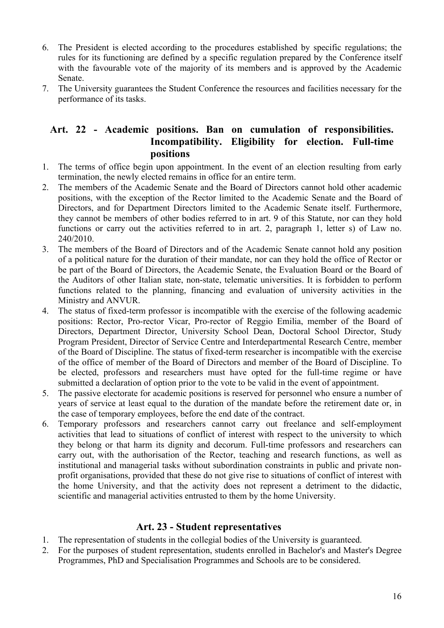- 6. The President is elected according to the procedures established by specific regulations; the rules for its functioning are defined by a specific regulation prepared by the Conference itself with the favourable vote of the majority of its members and is approved by the Academic Senate.
- 7. The University guarantees the Student Conference the resources and facilities necessary for the performance of its tasks.

### <span id="page-15-0"></span>**Art. 22 - Academic positions. Ban on cumulation of responsibilities. Incompatibility. Eligibility for election. Full-time positions**

- 1. The terms of office begin upon appointment. In the event of an election resulting from early termination, the newly elected remains in office for an entire term.
- 2. The members of the Academic Senate and the Board of Directors cannot hold other academic positions, with the exception of the Rector limited to the Academic Senate and the Board of Directors, and for Department Directors limited to the Academic Senate itself. Furthermore, they cannot be members of other bodies referred to in art. 9 of this Statute, nor can they hold functions or carry out the activities referred to in art. 2, paragraph 1, letter s) of Law no. 240/2010.
- 3. The members of the Board of Directors and of the Academic Senate cannot hold any position of a political nature for the duration of their mandate, nor can they hold the office of Rector or be part of the Board of Directors, the Academic Senate, the Evaluation Board or the Board of the Auditors of other Italian state, non-state, telematic universities. It is forbidden to perform functions related to the planning, financing and evaluation of university activities in the Ministry and ANVUR.
- 4. The status of fixed-term professor is incompatible with the exercise of the following academic positions: Rector, Pro-rector Vicar, Pro-rector of Reggio Emilia, member of the Board of Directors, Department Director, University School Dean, Doctoral School Director, Study Program President, Director of Service Centre and Interdepartmental Research Centre, member of the Board of Discipline. The status of fixed-term researcher is incompatible with the exercise of the office of member of the Board of Directors and member of the Board of Discipline. To be elected, professors and researchers must have opted for the full-time regime or have submitted a declaration of option prior to the vote to be valid in the event of appointment.
- 5. The passive electorate for academic positions is reserved for personnel who ensure a number of years of service at least equal to the duration of the mandate before the retirement date or, in the case of temporary employees, before the end date of the contract.
- 6. Temporary professors and researchers cannot carry out freelance and self-employment activities that lead to situations of conflict of interest with respect to the university to which they belong or that harm its dignity and decorum. Full-time professors and researchers can carry out, with the authorisation of the Rector, teaching and research functions, as well as institutional and managerial tasks without subordination constraints in public and private nonprofit organisations, provided that these do not give rise to situations of conflict of interest with the home University, and that the activity does not represent a detriment to the didactic, scientific and managerial activities entrusted to them by the home University.

### **Art. 23 - Student representatives**

- <span id="page-15-1"></span>1. The representation of students in the collegial bodies of the University is guaranteed.
- 2. For the purposes of student representation, students enrolled in Bachelor's and Master's Degree Programmes, PhD and Specialisation Programmes and Schools are to be considered.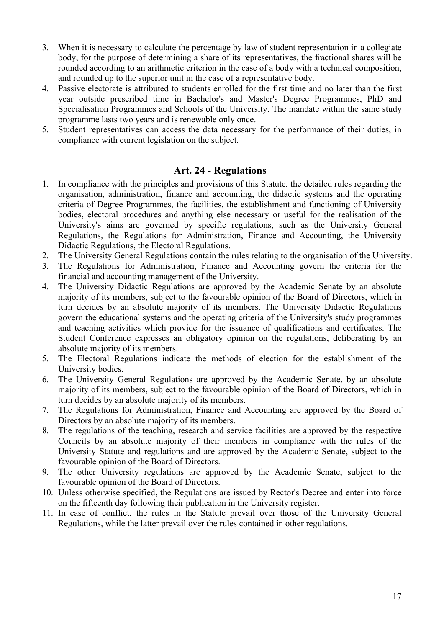- 3. When it is necessary to calculate the percentage by law of student representation in a collegiate body, for the purpose of determining a share of its representatives, the fractional shares will be rounded according to an arithmetic criterion in the case of a body with a technical composition, and rounded up to the superior unit in the case of a representative body.
- 4. Passive electorate is attributed to students enrolled for the first time and no later than the first year outside prescribed time in Bachelor's and Master's Degree Programmes, PhD and Specialisation Programmes and Schools of the University. The mandate within the same study programme lasts two years and is renewable only once.
- 5. Student representatives can access the data necessary for the performance of their duties, in compliance with current legislation on the subject.

### **Art. 24 - Regulations**

- <span id="page-16-0"></span>1. In compliance with the principles and provisions of this Statute, the detailed rules regarding the organisation, administration, finance and accounting, the didactic systems and the operating criteria of Degree Programmes, the facilities, the establishment and functioning of University bodies, electoral procedures and anything else necessary or useful for the realisation of the University's aims are governed by specific regulations, such as the University General Regulations, the Regulations for Administration, Finance and Accounting, the University Didactic Regulations, the Electoral Regulations.
- 2. The University General Regulations contain the rules relating to the organisation of the University.
- 3. The Regulations for Administration, Finance and Accounting govern the criteria for the financial and accounting management of the University.
- 4. The University Didactic Regulations are approved by the Academic Senate by an absolute majority of its members, subject to the favourable opinion of the Board of Directors, which in turn decides by an absolute majority of its members. The University Didactic Regulations govern the educational systems and the operating criteria of the University's study programmes and teaching activities which provide for the issuance of qualifications and certificates. The Student Conference expresses an obligatory opinion on the regulations, deliberating by an absolute majority of its members.
- 5. The Electoral Regulations indicate the methods of election for the establishment of the University bodies.
- 6. The University General Regulations are approved by the Academic Senate, by an absolute majority of its members, subject to the favourable opinion of the Board of Directors, which in turn decides by an absolute majority of its members.
- 7. The Regulations for Administration, Finance and Accounting are approved by the Board of Directors by an absolute majority of its members.
- 8. The regulations of the teaching, research and service facilities are approved by the respective Councils by an absolute majority of their members in compliance with the rules of the University Statute and regulations and are approved by the Academic Senate, subject to the favourable opinion of the Board of Directors.
- 9. The other University regulations are approved by the Academic Senate, subject to the favourable opinion of the Board of Directors.
- 10. Unless otherwise specified, the Regulations are issued by Rector's Decree and enter into force on the fifteenth day following their publication in the University register.
- 11. In case of conflict, the rules in the Statute prevail over those of the University General Regulations, while the latter prevail over the rules contained in other regulations.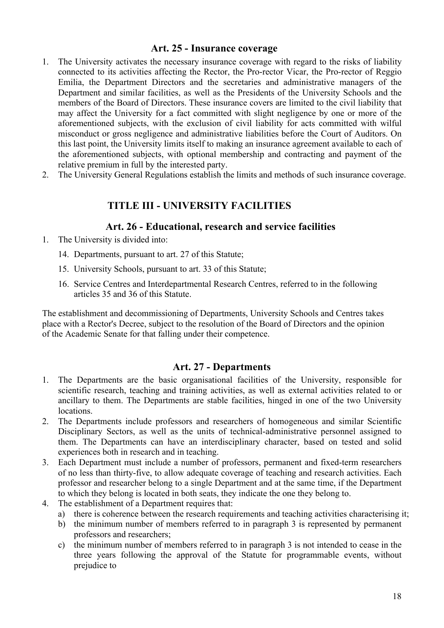#### **Art. 25 - Insurance coverage**

- <span id="page-17-0"></span>1. The University activates the necessary insurance coverage with regard to the risks of liability connected to its activities affecting the Rector, the Pro-rector Vicar, the Pro-rector of Reggio Emilia, the Department Directors and the secretaries and administrative managers of the Department and similar facilities, as well as the Presidents of the University Schools and the members of the Board of Directors. These insurance covers are limited to the civil liability that may affect the University for a fact committed with slight negligence by one or more of the aforementioned subjects, with the exclusion of civil liability for acts committed with wilful misconduct or gross negligence and administrative liabilities before the Court of Auditors. On this last point, the University limits itself to making an insurance agreement available to each of the aforementioned subjects, with optional membership and contracting and payment of the relative premium in full by the interested party.
- <span id="page-17-1"></span>2. The University General Regulations establish the limits and methods of such insurance coverage.

## **TITLE III - UNIVERSITY FACILITIES**

#### **Art. 26 - Educational, research and service facilities**

- <span id="page-17-2"></span>1. The University is divided into:
	- 14. Departments, pursuant to art. 27 of this Statute;
	- 15. University Schools, pursuant to art. 33 of this Statute;
	- 16. Service Centres and Interdepartmental Research Centres, referred to in the following articles 35 and 36 of this Statute.

The establishment and decommissioning of Departments, University Schools and Centres takes place with a Rector's Decree, subject to the resolution of the Board of Directors and the opinion of the Academic Senate for that falling under their competence.

#### **Art. 27 - Departments**

- <span id="page-17-3"></span>1. The Departments are the basic organisational facilities of the University, responsible for scientific research, teaching and training activities, as well as external activities related to or ancillary to them. The Departments are stable facilities, hinged in one of the two University locations.
- 2. The Departments include professors and researchers of homogeneous and similar Scientific Disciplinary Sectors, as well as the units of technical-administrative personnel assigned to them. The Departments can have an interdisciplinary character, based on tested and solid experiences both in research and in teaching.
- 3. Each Department must include a number of professors, permanent and fixed-term researchers of no less than thirty-five, to allow adequate coverage of teaching and research activities. Each professor and researcher belong to a single Department and at the same time, if the Department to which they belong is located in both seats, they indicate the one they belong to.
- 4. The establishment of a Department requires that:
	- a) there is coherence between the research requirements and teaching activities characterising it;
	- b) the minimum number of members referred to in paragraph 3 is represented by permanent professors and researchers;
	- c) the minimum number of members referred to in paragraph 3 is not intended to cease in the three years following the approval of the Statute for programmable events, without prejudice to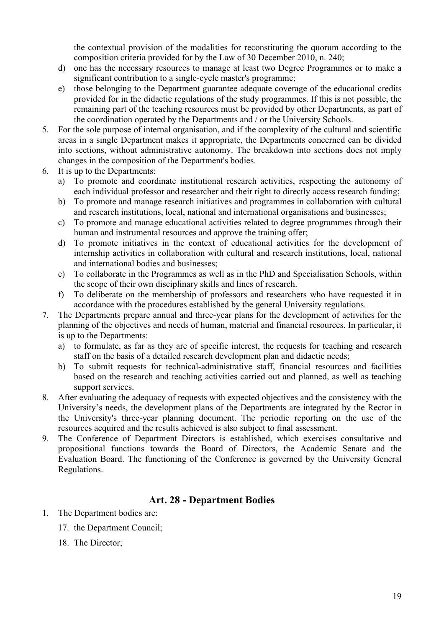the contextual provision of the modalities for reconstituting the quorum according to the composition criteria provided for by the Law of 30 December 2010, n. 240;

- d) one has the necessary resources to manage at least two Degree Programmes or to make a significant contribution to a single-cycle master's programme;
- e) those belonging to the Department guarantee adequate coverage of the educational credits provided for in the didactic regulations of the study programmes. If this is not possible, the remaining part of the teaching resources must be provided by other Departments, as part of the coordination operated by the Departments and / or the University Schools.
- 5. For the sole purpose of internal organisation, and if the complexity of the cultural and scientific areas in a single Department makes it appropriate, the Departments concerned can be divided into sections, without administrative autonomy. The breakdown into sections does not imply changes in the composition of the Department's bodies.
- 6. It is up to the Departments:
	- a) To promote and coordinate institutional research activities, respecting the autonomy of each individual professor and researcher and their right to directly access research funding;
	- b) To promote and manage research initiatives and programmes in collaboration with cultural and research institutions, local, national and international organisations and businesses;
	- c) To promote and manage educational activities related to degree programmes through their human and instrumental resources and approve the training offer;
	- d) To promote initiatives in the context of educational activities for the development of internship activities in collaboration with cultural and research institutions, local, national and international bodies and businesses;
	- e) To collaborate in the Programmes as well as in the PhD and Specialisation Schools, within the scope of their own disciplinary skills and lines of research.
	- f) To deliberate on the membership of professors and researchers who have requested it in accordance with the procedures established by the general University regulations.
- 7. The Departments prepare annual and three-year plans for the development of activities for the planning of the objectives and needs of human, material and financial resources. In particular, it is up to the Departments:
	- a) to formulate, as far as they are of specific interest, the requests for teaching and research staff on the basis of a detailed research development plan and didactic needs;
	- b) To submit requests for technical-administrative staff, financial resources and facilities based on the research and teaching activities carried out and planned, as well as teaching support services.
- 8. After evaluating the adequacy of requests with expected objectives and the consistency with the University's needs, the development plans of the Departments are integrated by the Rector in the University's three-year planning document. The periodic reporting on the use of the resources acquired and the results achieved is also subject to final assessment.
- 9. The Conference of Department Directors is established, which exercises consultative and propositional functions towards the Board of Directors, the Academic Senate and the Evaluation Board. The functioning of the Conference is governed by the University General Regulations.

### **Art. 28 - Department Bodies**

- <span id="page-18-0"></span>1. The Department bodies are:
	- 17. the Department Council;
	- 18. The Director;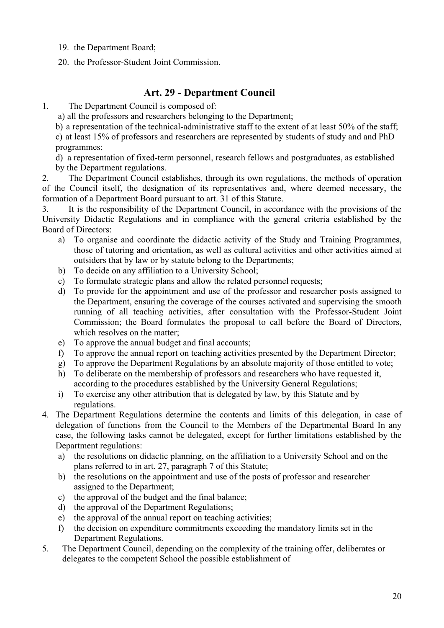- 19. the Department Board;
- 20. the Professor-Student Joint Commission.

# **Art. 29 - Department Council**

<span id="page-19-0"></span>1. The Department Council is composed of:

a) all the professors and researchers belonging to the Department;

b) a representation of the technical-administrative staff to the extent of at least 50% of the staff;

c) at least 15% of professors and researchers are represented by students of study and and PhD programmes;

d) a representation of fixed-term personnel, research fellows and postgraduates, as established by the Department regulations.

2. The Department Council establishes, through its own regulations, the methods of operation of the Council itself, the designation of its representatives and, where deemed necessary, the formation of a Department Board pursuant to art. 31 of this Statute.

3. It is the responsibility of the Department Council, in accordance with the provisions of the University Didactic Regulations and in compliance with the general criteria established by the Board of Directors:

- a) To organise and coordinate the didactic activity of the Study and Training Programmes, those of tutoring and orientation, as well as cultural activities and other activities aimed at outsiders that by law or by statute belong to the Departments;
- b) To decide on any affiliation to a University School;
- c) To formulate strategic plans and allow the related personnel requests;
- d) To provide for the appointment and use of the professor and researcher posts assigned to the Department, ensuring the coverage of the courses activated and supervising the smooth running of all teaching activities, after consultation with the Professor-Student Joint Commission; the Board formulates the proposal to call before the Board of Directors, which resolves on the matter;
- e) To approve the annual budget and final accounts;
- f) To approve the annual report on teaching activities presented by the Department Director;
- g) To approve the Department Regulations by an absolute majority of those entitled to vote;
- h) To deliberate on the membership of professors and researchers who have requested it, according to the procedures established by the University General Regulations;
- i) To exercise any other attribution that is delegated by law, by this Statute and by regulations.
- 4. The Department Regulations determine the contents and limits of this delegation, in case of delegation of functions from the Council to the Members of the Departmental Board In any case, the following tasks cannot be delegated, except for further limitations established by the Department regulations:
	- a) the resolutions on didactic planning, on the affiliation to a University School and on the plans referred to in art. 27, paragraph 7 of this Statute;
	- b) the resolutions on the appointment and use of the posts of professor and researcher assigned to the Department;
	- c) the approval of the budget and the final balance;
	- d) the approval of the Department Regulations;
	- e) the approval of the annual report on teaching activities;
	- f) the decision on expenditure commitments exceeding the mandatory limits set in the Department Regulations.
- 5. The Department Council, depending on the complexity of the training offer, deliberates or delegates to the competent School the possible establishment of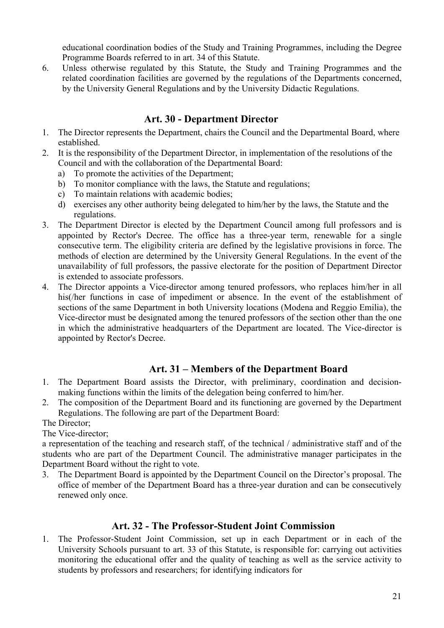educational coordination bodies of the Study and Training Programmes, including the Degree Programme Boards referred to in art. 34 of this Statute.

6. Unless otherwise regulated by this Statute, the Study and Training Programmes and the related coordination facilities are governed by the regulations of the Departments concerned, by the University General Regulations and by the University Didactic Regulations.

## **Art. 30 - Department Director**

- <span id="page-20-0"></span>1. The Director represents the Department, chairs the Council and the Departmental Board, where established.
- 2. It is the responsibility of the Department Director, in implementation of the resolutions of the Council and with the collaboration of the Departmental Board:
	- a) To promote the activities of the Department;
	- b) To monitor compliance with the laws, the Statute and regulations;
	- c) To maintain relations with academic bodies;
	- d) exercises any other authority being delegated to him/her by the laws, the Statute and the regulations.
- 3. The Department Director is elected by the Department Council among full professors and is appointed by Rector's Decree. The office has a three-year term, renewable for a single consecutive term. The eligibility criteria are defined by the legislative provisions in force. The methods of election are determined by the University General Regulations. In the event of the unavailability of full professors, the passive electorate for the position of Department Director is extended to associate professors.
- 4. The Director appoints a Vice-director among tenured professors, who replaces him/her in all his(/her functions in case of impediment or absence. In the event of the establishment of sections of the same Department in both University locations (Modena and Reggio Emilia), the Vice-director must be designated among the tenured professors of the section other than the one in which the administrative headquarters of the Department are located. The Vice-director is appointed by Rector's Decree.

## **Art. 31 – Members of the Department Board**

- <span id="page-20-1"></span>1. The Department Board assists the Director, with preliminary, coordination and decisionmaking functions within the limits of the delegation being conferred to him/her.
- 2. The composition of the Department Board and its functioning are governed by the Department Regulations. The following are part of the Department Board:

The Director;

The Vice-director;

a representation of the teaching and research staff, of the technical / administrative staff and of the students who are part of the Department Council. The administrative manager participates in the Department Board without the right to vote.

3. The Department Board is appointed by the Department Council on the Director's proposal. The office of member of the Department Board has a three-year duration and can be consecutively renewed only once.

## **Art. 32 - The Professor-Student Joint Commission**

<span id="page-20-2"></span>1. The Professor-Student Joint Commission, set up in each Department or in each of the University Schools pursuant to art. 33 of this Statute, is responsible for: carrying out activities monitoring the educational offer and the quality of teaching as well as the service activity to students by professors and researchers; for identifying indicators for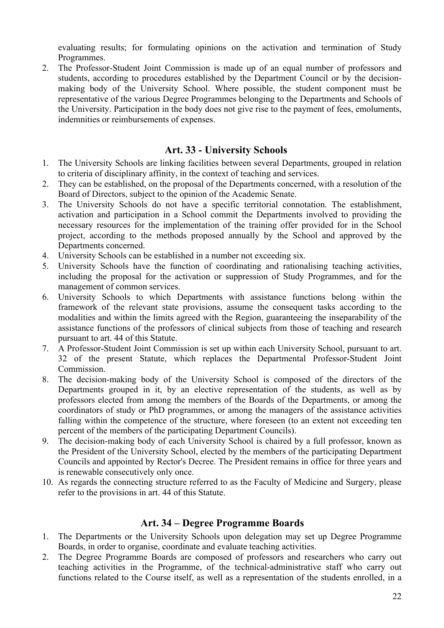evaluating results; for formulating opinions on the activation and termination of Study Programmes.

2. The Professor-Student Joint Commission is made up of an equal number of professors and students, according to procedures established by the Department Council or by the decisionmaking body of the University School. Where possible, the student component must be representative of the various Degree Programmes belonging to the Departments and Schools of the University. Participation in the body does not give rise to the payment of fees, emoluments, indemnities or reimbursements of expenses.

### **Art. 33 - University Schools**

- <span id="page-21-0"></span>1. The University Schools are linking facilities between several Departments, grouped in relation to criteria of disciplinary affinity, in the context of teaching and services.
- 2. They can be established, on the proposal of the Departments concerned, with a resolution of the Board of Directors, subject to the opinion of the Academic Senate.
- 3. The University Schools do not have a specific territorial connotation. The establishment, activation and participation in a School commit the Departments involved to providing the necessary resources for the implementation of the training offer provided for in the School project, according to the methods proposed annually by the School and approved by the Departments concerned.
- 4. University Schools can be established in a number not exceeding six.
- 5. University Schools have the function of coordinating and rationalising teaching activities, including the proposal for the activation or suppression of Study Programmes, and for the management of common services.
- 6. University Schools to which Departments with assistance functions belong within the framework of the relevant state provisions, assume the consequent tasks according to the modalities and within the limits agreed with the Region, guaranteeing the inseparability of the assistance functions of the professors of clinical subjects from those of teaching and research pursuant to art. 44 of this Statute.
- 7. A Professor-Student Joint Commission is set up within each University School, pursuant to art. 32 of the present Statute, which replaces the Departmental Professor-Student Joint Commission.
- 8. The decision-making body of the University School is composed of the directors of the Departments grouped in it, by an elective representation of the students, as well as by professors elected from among the members of the Boards of the Departments, or among the coordinators of study or PhD programmes, or among the managers of the assistance activities falling within the competence of the structure, where foreseen (to an extent not exceeding ten percent of the members of the participating Department Councils).
- 9. The decision-making body of each University School is chaired by a full professor, known as the President of the University School, elected by the members of the participating Department Councils and appointed by Rector's Decree. The President remains in office for three years and is renewable consecutively only once.
- 10. As regards the connecting structure referred to as the Faculty of Medicine and Surgery, please refer to the provisions in art. 44 of this Statute.

### **Art. 34 – Degree Programme Boards**

- <span id="page-21-1"></span>1. The Departments or the University Schools upon delegation may set up Degree Programme Boards, in order to organise, coordinate and evaluate teaching activities.
- 2. The Degree Programme Boards are composed of professors and researchers who carry out teaching activities in the Programme, of the technical-administrative staff who carry out functions related to the Course itself, as well as a representation of the students enrolled, in a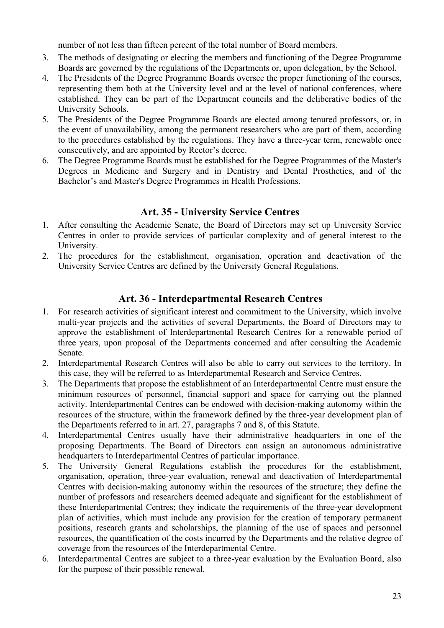number of not less than fifteen percent of the total number of Board members.

- 3. The methods of designating or electing the members and functioning of the Degree Programme Boards are governed by the regulations of the Departments or, upon delegation, by the School.
- 4. The Presidents of the Degree Programme Boards oversee the proper functioning of the courses, representing them both at the University level and at the level of national conferences, where established. They can be part of the Department councils and the deliberative bodies of the University Schools.
- 5. The Presidents of the Degree Programme Boards are elected among tenured professors, or, in the event of unavailability, among the permanent researchers who are part of them, according to the procedures established by the regulations. They have a three-year term, renewable once consecutively, and are appointed by Rector's decree.
- 6. The Degree Programme Boards must be established for the Degree Programmes of the Master's Degrees in Medicine and Surgery and in Dentistry and Dental Prosthetics, and of the Bachelor's and Master's Degree Programmes in Health Professions.

### **Art. 35 - University Service Centres**

- <span id="page-22-0"></span>1. After consulting the Academic Senate, the Board of Directors may set up University Service Centres in order to provide services of particular complexity and of general interest to the University.
- 2. The procedures for the establishment, organisation, operation and deactivation of the University Service Centres are defined by the University General Regulations.

## **Art. 36 - Interdepartmental Research Centres**

- <span id="page-22-1"></span>1. For research activities of significant interest and commitment to the University, which involve multi-year projects and the activities of several Departments, the Board of Directors may to approve the establishment of Interdepartmental Research Centres for a renewable period of three years, upon proposal of the Departments concerned and after consulting the Academic Senate.
- 2. Interdepartmental Research Centres will also be able to carry out services to the territory. In this case, they will be referred to as Interdepartmental Research and Service Centres.
- 3. The Departments that propose the establishment of an Interdepartmental Centre must ensure the minimum resources of personnel, financial support and space for carrying out the planned activity. Interdepartmental Centres can be endowed with decision-making autonomy within the resources of the structure, within the framework defined by the three-year development plan of the Departments referred to in art. 27, paragraphs 7 and 8, of this Statute.
- 4. Interdepartmental Centres usually have their administrative headquarters in one of the proposing Departments. The Board of Directors can assign an autonomous administrative headquarters to Interdepartmental Centres of particular importance.
- 5. The University General Regulations establish the procedures for the establishment, organisation, operation, three-year evaluation, renewal and deactivation of Interdepartmental Centres with decision-making autonomy within the resources of the structure; they define the number of professors and researchers deemed adequate and significant for the establishment of these Interdepartmental Centres; they indicate the requirements of the three-year development plan of activities, which must include any provision for the creation of temporary permanent positions, research grants and scholarships, the planning of the use of spaces and personnel resources, the quantification of the costs incurred by the Departments and the relative degree of coverage from the resources of the Interdepartmental Centre.
- 6. Interdepartmental Centres are subject to a three-year evaluation by the Evaluation Board, also for the purpose of their possible renewal.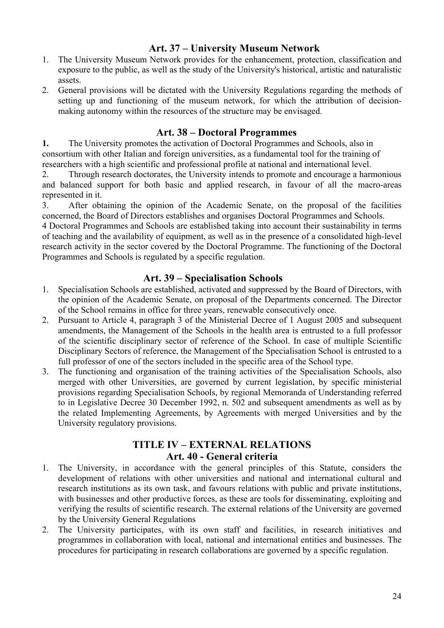# **Art. 37 – University Museum Network**

- <span id="page-23-0"></span>1. The University Museum Network provides for the enhancement, protection, classification and exposure to the public, as well as the study of the University's historical, artistic and naturalistic assets.
- 2. General provisions will be dictated with the University Regulations regarding the methods of setting up and functioning of the museum network, for which the attribution of decisionmaking autonomy within the resources of the structure may be envisaged.

### **Art. 38 – Doctoral Programmes**

<span id="page-23-1"></span>**1.** The University promotes the activation of Doctoral Programmes and Schools, also in consortium with other Italian and foreign universities, as a fundamental tool for the training of researchers with a high scientific and professional profile at national and international level.

2. Through research doctorates, the University intends to promote and encourage a harmonious and balanced support for both basic and applied research, in favour of all the macro-areas represented in it.

3. After obtaining the opinion of the Academic Senate, on the proposal of the facilities concerned, the Board of Directors establishes and organises Doctoral Programmes and Schools.

4 Doctoral Programmes and Schools are established taking into account their sustainability in terms of teaching and the availability of equipment, as well as in the presence of a consolidated high-level research activity in the sector covered by the Doctoral Programme. The functioning of the Doctoral Programmes and Schools is regulated by a specific regulation.

### **Art. 39 – Specialisation Schools**

- <span id="page-23-2"></span>1. Specialisation Schools are established, activated and suppressed by the Board of Directors, with the opinion of the Academic Senate, on proposal of the Departments concerned. The Director of the School remains in office for three years, renewable consecutively once.
- 2. Pursuant to Article 4, paragraph 3 of the Ministerial Decree of 1 August 2005 and subsequent amendments, the Management of the Schools in the health area is entrusted to a full professor of the scientific disciplinary sector of reference of the School. In case of multiple Scientific Disciplinary Sectors of reference, the Management of the Specialisation School is entrusted to a full professor of one of the sectors included in the specific area of the School type.
- 3. The functioning and organisation of the training activities of the Specialisation Schools, also merged with other Universities, are governed by current legislation, by specific ministerial provisions regarding Specialisation Schools, by regional Memoranda of Understanding referred to in Legislative Decree 30 December 1992, n. 502 and subsequent amendments as well as by the related Implementing Agreements, by Agreements with merged Universities and by the University regulatory provisions.

## **TITLE IV – EXTERNAL RELATIONS Art. 40 - General criteria**

- <span id="page-23-3"></span>1. The University, in accordance with the general principles of this Statute, considers the development of relations with other universities and national and international cultural and research institutions as its own task, and favours relations with public and private institutions, with businesses and other productive forces, as these are tools for disseminating, exploiting and verifying the results of scientific research. The external relations of the University are governed by the University General Regulations
- 2. The University participates, with its own staff and facilities, in research initiatives and programmes in collaboration with local, national and international entities and businesses. The procedures for participating in research collaborations are governed by a specific regulation.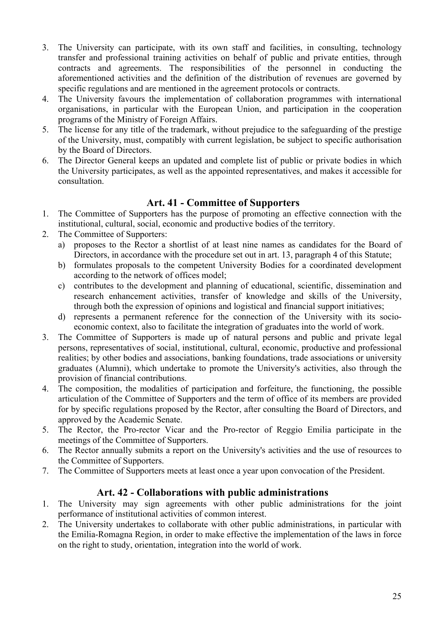- 3. The University can participate, with its own staff and facilities, in consulting, technology transfer and professional training activities on behalf of public and private entities, through contracts and agreements. The responsibilities of the personnel in conducting the aforementioned activities and the definition of the distribution of revenues are governed by specific regulations and are mentioned in the agreement protocols or contracts.
- 4. The University favours the implementation of collaboration programmes with international organisations, in particular with the European Union, and participation in the cooperation programs of the Ministry of Foreign Affairs.
- 5. The license for any title of the trademark, without prejudice to the safeguarding of the prestige of the University, must, compatibly with current legislation, be subject to specific authorisation by the Board of Directors.
- 6. The Director General keeps an updated and complete list of public or private bodies in which the University participates, as well as the appointed representatives, and makes it accessible for consultation.

### **Art. 41 - Committee of Supporters**

- 1. The Committee of Supporters has the purpose of promoting an effective connection with the institutional, cultural, social, economic and productive bodies of the territory.
- 2. The Committee of Supporters:
	- a) proposes to the Rector a shortlist of at least nine names as candidates for the Board of Directors, in accordance with the procedure set out in art. 13, paragraph 4 of this Statute;
	- b) formulates proposals to the competent University Bodies for a coordinated development according to the network of offices model;
	- c) contributes to the development and planning of educational, scientific, dissemination and research enhancement activities, transfer of knowledge and skills of the University, through both the expression of opinions and logistical and financial support initiatives;
	- d) represents a permanent reference for the connection of the University with its socioeconomic context, also to facilitate the integration of graduates into the world of work.
- 3. The Committee of Supporters is made up of natural persons and public and private legal persons, representatives of social, institutional, cultural, economic, productive and professional realities; by other bodies and associations, banking foundations, trade associations or university graduates (Alumni), which undertake to promote the University's activities, also through the provision of financial contributions.
- 4. The composition, the modalities of participation and forfeiture, the functioning, the possible articulation of the Committee of Supporters and the term of office of its members are provided for by specific regulations proposed by the Rector, after consulting the Board of Directors, and approved by the Academic Senate.
- 5. The Rector, the Pro-rector Vicar and the Pro-rector of Reggio Emilia participate in the meetings of the Committee of Supporters.
- 6. The Rector annually submits a report on the University's activities and the use of resources to the Committee of Supporters.
- 7. The Committee of Supporters meets at least once a year upon convocation of the President.

## **Art. 42 - Collaborations with public administrations**

- 1. The University may sign agreements with other public administrations for the joint performance of institutional activities of common interest.
- 2. The University undertakes to collaborate with other public administrations, in particular with the Emilia-Romagna Region, in order to make effective the implementation of the laws in force on the right to study, orientation, integration into the world of work.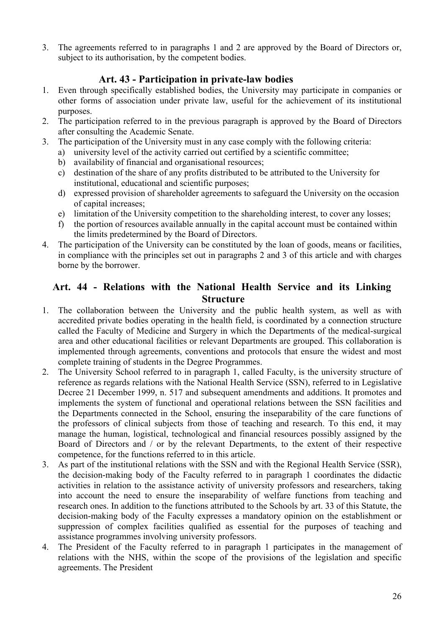3. The agreements referred to in paragraphs 1 and 2 are approved by the Board of Directors or, subject to its authorisation, by the competent bodies.

# **Art. 43 - Participation in private-law bodies**

- 1. Even through specifically established bodies, the University may participate in companies or other forms of association under private law, useful for the achievement of its institutional purposes.
- 2. The participation referred to in the previous paragraph is approved by the Board of Directors after consulting the Academic Senate.
- 3. The participation of the University must in any case comply with the following criteria:
	- a) university level of the activity carried out certified by a scientific committee;
		- b) availability of financial and organisational resources;
		- c) destination of the share of any profits distributed to be attributed to the University for institutional, educational and scientific purposes;
		- d) expressed provision of shareholder agreements to safeguard the University on the occasion of capital increases;
		- e) limitation of the University competition to the shareholding interest, to cover any losses;
		- f) the portion of resources available annually in the capital account must be contained within the limits predetermined by the Board of Directors.
- 4. The participation of the University can be constituted by the loan of goods, means or facilities, in compliance with the principles set out in paragraphs 2 and 3 of this article and with charges borne by the borrower.

## **Art. 44 - Relations with the National Health Service and its Linking Structure**

- 1. The collaboration between the University and the public health system, as well as with accredited private bodies operating in the health field, is coordinated by a connection structure called the Faculty of Medicine and Surgery in which the Departments of the medical-surgical area and other educational facilities or relevant Departments are grouped. This collaboration is implemented through agreements, conventions and protocols that ensure the widest and most complete training of students in the Degree Programmes.
- 2. The University School referred to in paragraph 1, called Faculty, is the university structure of reference as regards relations with the National Health Service (SSN), referred to in Legislative Decree 21 December 1999, n. 517 and subsequent amendments and additions. It promotes and implements the system of functional and operational relations between the SSN facilities and the Departments connected in the School, ensuring the inseparability of the care functions of the professors of clinical subjects from those of teaching and research. To this end, it may manage the human, logistical, technological and financial resources possibly assigned by the Board of Directors and / or by the relevant Departments, to the extent of their respective competence, for the functions referred to in this article.
- 3. As part of the institutional relations with the SSN and with the Regional Health Service (SSR), the decision-making body of the Faculty referred to in paragraph 1 coordinates the didactic activities in relation to the assistance activity of university professors and researchers, taking into account the need to ensure the inseparability of welfare functions from teaching and research ones. In addition to the functions attributed to the Schools by art. 33 of this Statute, the decision-making body of the Faculty expresses a mandatory opinion on the establishment or suppression of complex facilities qualified as essential for the purposes of teaching and assistance programmes involving university professors.
- 4. The President of the Faculty referred to in paragraph 1 participates in the management of relations with the NHS, within the scope of the provisions of the legislation and specific agreements. The President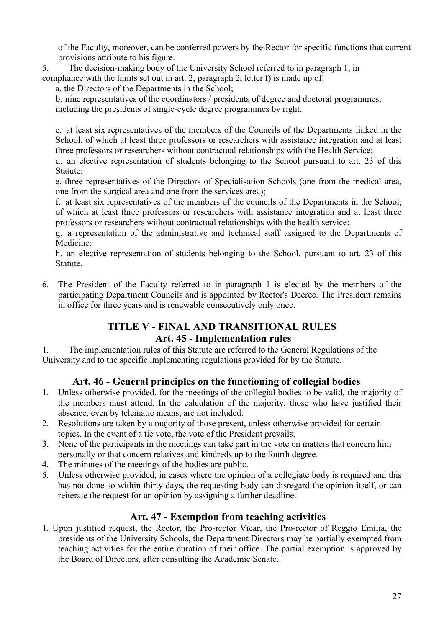of the Faculty, moreover, can be conferred powers by the Rector for specific functions that current provisions attribute to his figure.

5. The decision-making body of the University School referred to in paragraph 1, in compliance with the limits set out in art. 2, paragraph 2, letter f) is made up of:

a. the Directors of the Departments in the School;

b. nine representatives of the coordinators / presidents of degree and doctoral programmes, including the presidents of single-cycle degree programmes by right;

c. at least six representatives of the members of the Councils of the Departments linked in the School, of which at least three professors or researchers with assistance integration and at least three professors or researchers without contractual relationships with the Health Service;

d. an elective representation of students belonging to the School pursuant to art. 23 of this Statute;

e. three representatives of the Directors of Specialisation Schools (one from the medical area, one from the surgical area and one from the services area);

f. at least six representatives of the members of the councils of the Departments in the School, of which at least three professors or researchers with assistance integration and at least three professors or researchers without contractual relationships with the health service;

g. a representation of the administrative and technical staff assigned to the Departments of Medicine;

h. an elective representation of students belonging to the School, pursuant to art. 23 of this Statute.

6. The President of the Faculty referred to in paragraph 1 is elected by the members of the participating Department Councils and is appointed by Rector's Decree. The President remains in office for three years and is renewable consecutively only once.

### **TITLE V - FINAL AND TRANSITIONAL RULES Art. 45 - Implementation rules**

1. The implementation rules of this Statute are referred to the General Regulations of the University and to the specific implementing regulations provided for by the Statute.

## **Art. 46 - General principles on the functioning of collegial bodies**

- 1. Unless otherwise provided, for the meetings of the collegial bodies to be valid, the majority of the members must attend. In the calculation of the majority, those who have justified their absence, even by telematic means, are not included.
- 2. Resolutions are taken by a majority of those present, unless otherwise provided for certain topics. In the event of a tie vote, the vote of the President prevails.
- 3. None of the participants in the meetings can take part in the vote on matters that concern him personally or that concern relatives and kindreds up to the fourth degree.
- 4. The minutes of the meetings of the bodies are public.
- 5. Unless otherwise provided, in cases where the opinion of a collegiate body is required and this has not done so within thirty days, the requesting body can disregard the opinion itself, or can reiterate the request for an opinion by assigning a further deadline.

## **Art. 47 - Exemption from teaching activities**

1. Upon justified request, the Rector, the Pro-rector Vicar, the Pro-rector of Reggio Emilia, the presidents of the University Schools, the Department Directors may be partially exempted from teaching activities for the entire duration of their office. The partial exemption is approved by the Board of Directors, after consulting the Academic Senate.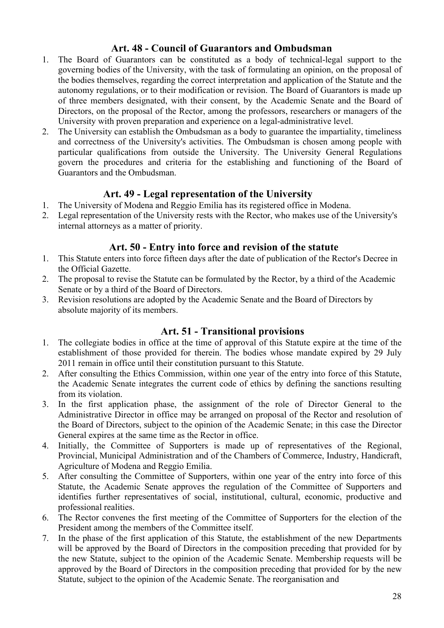## **Art. 48 - Council of Guarantors and Ombudsman**

- 1. The Board of Guarantors can be constituted as a body of technical-legal support to the governing bodies of the University, with the task of formulating an opinion, on the proposal of the bodies themselves, regarding the correct interpretation and application of the Statute and the autonomy regulations, or to their modification or revision. The Board of Guarantors is made up of three members designated, with their consent, by the Academic Senate and the Board of Directors, on the proposal of the Rector, among the professors, researchers or managers of the University with proven preparation and experience on a legal-administrative level.
- 2. The University can establish the Ombudsman as a body to guarantee the impartiality, timeliness and correctness of the University's activities. The Ombudsman is chosen among people with particular qualifications from outside the University. The University General Regulations govern the procedures and criteria for the establishing and functioning of the Board of Guarantors and the Ombudsman.

### **Art. 49 - Legal representation of the University**

- 1. The University of Modena and Reggio Emilia has its registered office in Modena.
- 2. Legal representation of the University rests with the Rector, who makes use of the University's internal attorneys as a matter of priority.

#### **Art. 50 - Entry into force and revision of the statute**

- 1. This Statute enters into force fifteen days after the date of publication of the Rector's Decree in the Official Gazette.
- 2. The proposal to revise the Statute can be formulated by the Rector, by a third of the Academic Senate or by a third of the Board of Directors.
- 3. Revision resolutions are adopted by the Academic Senate and the Board of Directors by absolute majority of its members.

### **Art. 51 - Transitional provisions**

- 1. The collegiate bodies in office at the time of approval of this Statute expire at the time of the establishment of those provided for therein. The bodies whose mandate expired by 29 July 2011 remain in office until their constitution pursuant to this Statute.
- 2. After consulting the Ethics Commission, within one year of the entry into force of this Statute, the Academic Senate integrates the current code of ethics by defining the sanctions resulting from its violation.
- 3. In the first application phase, the assignment of the role of Director General to the Administrative Director in office may be arranged on proposal of the Rector and resolution of the Board of Directors, subject to the opinion of the Academic Senate; in this case the Director General expires at the same time as the Rector in office.
- 4. Initially, the Committee of Supporters is made up of representatives of the Regional, Provincial, Municipal Administration and of the Chambers of Commerce, Industry, Handicraft, Agriculture of Modena and Reggio Emilia.
- 5. After consulting the Committee of Supporters, within one year of the entry into force of this Statute, the Academic Senate approves the regulation of the Committee of Supporters and identifies further representatives of social, institutional, cultural, economic, productive and professional realities.
- 6. The Rector convenes the first meeting of the Committee of Supporters for the election of the President among the members of the Committee itself.
- 7. In the phase of the first application of this Statute, the establishment of the new Departments will be approved by the Board of Directors in the composition preceding that provided for by the new Statute, subject to the opinion of the Academic Senate. Membership requests will be approved by the Board of Directors in the composition preceding that provided for by the new Statute, subject to the opinion of the Academic Senate. The reorganisation and